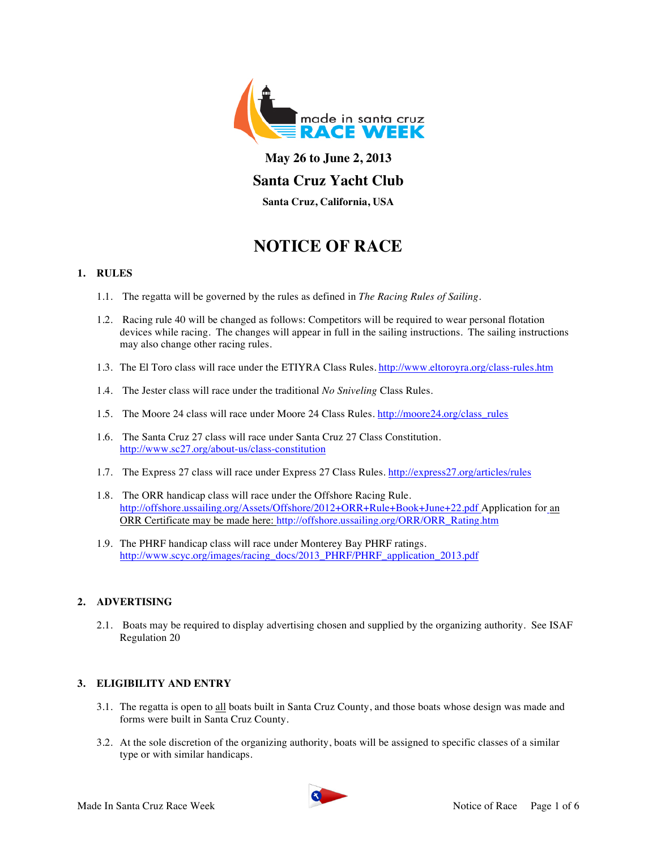

# **May 26 to June 2, 2013 Santa Cruz Yacht Club**

**Santa Cruz, California, USA**

# **NOTICE OF RACE**

# **1. RULES**

- 1.1. The regatta will be governed by the rules as defined in *The Racing Rules of Sailing*.
- 1.2. Racing rule 40 will be changed as follows: Competitors will be required to wear personal flotation devices while racing. The changes will appear in full in the sailing instructions. The sailing instructions may also change other racing rules.
- 1.3. The El Toro class will race under the ETIYRA Class Rules. http://www.eltoroyra.org/class-rules.htm
- 1.4. The Jester class will race under the traditional *No Sniveling* Class Rules.
- 1.5. The Moore 24 class will race under Moore 24 Class Rules. http://moore24.org/class\_rules
- 1.6. The Santa Cruz 27 class will race under Santa Cruz 27 Class Constitution. http://www.sc27.org/about-us/class-constitution
- 1.7. The Express 27 class will race under Express 27 Class Rules. http://express27.org/articles/rules
- 1.8. The ORR handicap class will race under the Offshore Racing Rule. http://offshore.ussailing.org/Assets/Offshore/2012+ORR+Rule+Book+June+22.pdf Application for an ORR Certificate may be made here: http://offshore.ussailing.org/ORR/ORR\_Rating.htm
- 1.9. The PHRF handicap class will race under Monterey Bay PHRF ratings. http://www.scyc.org/images/racing\_docs/2013\_PHRF/PHRF\_application\_2013.pdf

# **2. ADVERTISING**

2.1. Boats may be required to display advertising chosen and supplied by the organizing authority. See ISAF Regulation 20

## **3. ELIGIBILITY AND ENTRY**

- 3.1. The regatta is open to all boats built in Santa Cruz County, and those boats whose design was made and forms were built in Santa Cruz County.
- 3.2. At the sole discretion of the organizing authority, boats will be assigned to specific classes of a similar type or with similar handicaps.

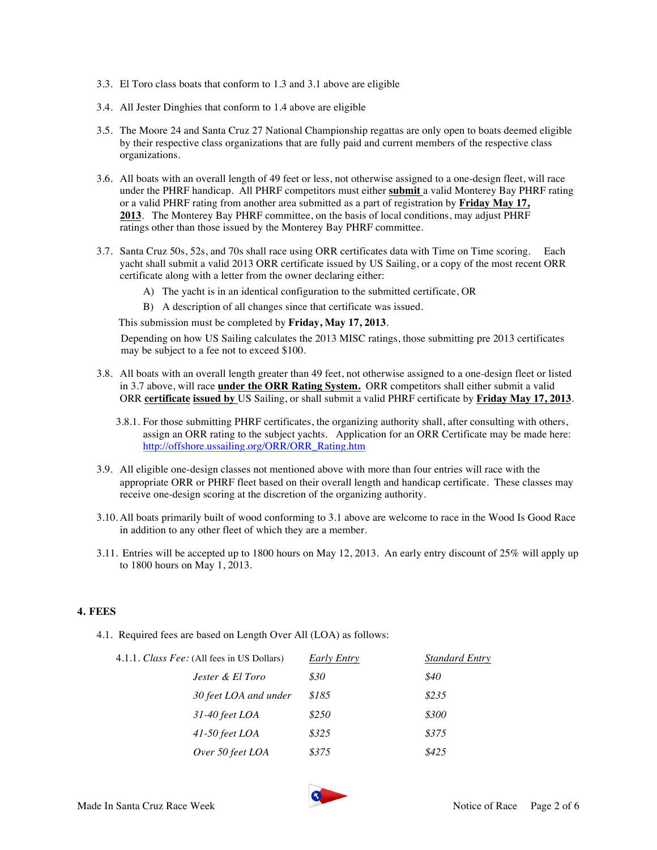- 3.3. El Toro class boats that conform to 1.3 and 3.1 above are eligible
- 3.4. All Jester Dinghies that conform to 1.4 above are eligible
- 3.5. The Moore 24 and Santa Cruz 27 National Championship regattas are only open to boats deemed eligible by their respective class organizations that are fully paid and current members of the respective class organizations.
- 3.6. All boats with an overall length of 49 feet or less, not otherwise assigned to a one-design fleet, will race under the PHRF handicap. All PHRF competitors must either **submit** a valid Monterey Bay PHRF rating or a valid PHRF rating from another area submitted as a part of registration by **Friday May 17, 2013**. The Monterey Bay PHRF committee, on the basis of local conditions, may adjust PHRF ratings other than those issued by the Monterey Bay PHRF committee.
- 3.7. Santa Cruz 50s, 52s, and 70s shall race using ORR certificates data with Time on Time scoring. Each yacht shall submit a valid 2013 ORR certificate issued by US Sailing, or a copy of the most recent ORR certificate along with a letter from the owner declaring either:
	- A) The yacht is in an identical configuration to the submitted certificate, OR
	- B) A description of all changes since that certificate was issued.

This submission must be completed by **Friday, May 17, 2013**.

Depending on how US Sailing calculates the 2013 MISC ratings, those submitting pre 2013 certificates may be subject to a fee not to exceed \$100.

- 3.8. All boats with an overall length greater than 49 feet, not otherwise assigned to a one-design fleet or listed in 3.7 above, will race **under the ORR Rating System.** ORR competitors shall either submit a valid ORR **certificate issued by** US Sailing, or shall submit a valid PHRF certificate by **Friday May 17, 2013**.
	- 3.8.1. For those submitting PHRF certificates, the organizing authority shall, after consulting with others, assign an ORR rating to the subject yachts. Application for an ORR Certificate may be made here: http://offshore.ussailing.org/ORR/ORR\_Rating.htm
- 3.9. All eligible one-design classes not mentioned above with more than four entries will race with the appropriate ORR or PHRF fleet based on their overall length and handicap certificate. These classes may receive one-design scoring at the discretion of the organizing authority.
- 3.10. All boats primarily built of wood conforming to 3.1 above are welcome to race in the Wood Is Good Race in addition to any other fleet of which they are a member.
- 3.11. Entries will be accepted up to 1800 hours on May 12, 2013. An early entry discount of 25% will apply up to 1800 hours on May 1, 2013.

## **4. FEES**

4.1. Required fees are based on Length Over All (LOA) as follows:

| 4.1.1. Class Fee: (All fees in US Dollars) |                             | Early Entry | <b>Standard Entry</b> |
|--------------------------------------------|-----------------------------|-------------|-----------------------|
|                                            | <i>Jester &amp; El Toro</i> | \$30        | \$40                  |
|                                            | 30 feet LOA and under       | \$185       | \$235                 |
|                                            | $31-40$ feet LOA            | \$250       | \$300                 |
|                                            | $41-50$ feet LOA            | \$325       | \$375                 |
|                                            | Over 50 feet LOA            | \$375       | \$425                 |
|                                            |                             |             |                       |

8.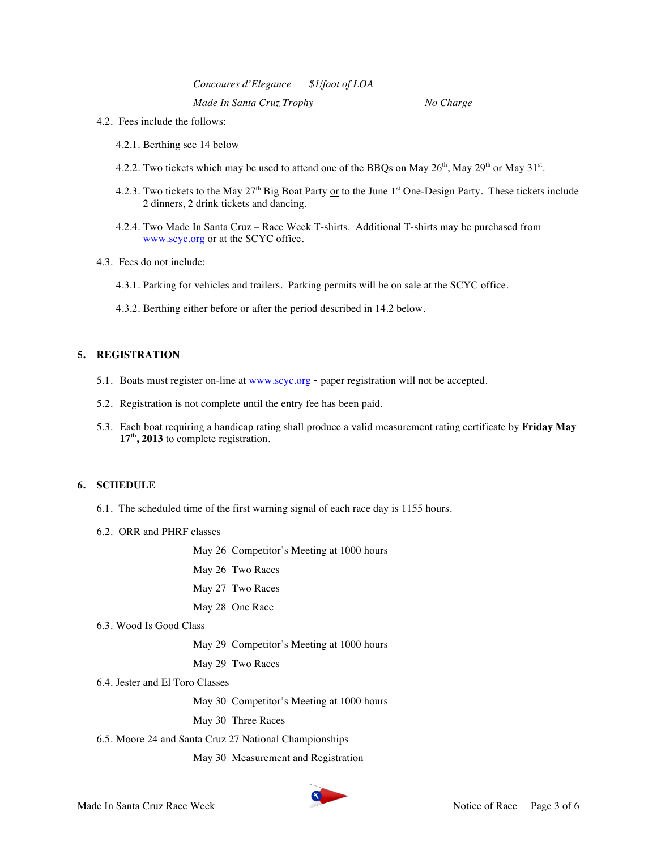*Concoures d'Elegance \$1/foot of LOA Made In Santa Cruz Trophy No Charge*

- 4.2. Fees include the follows:
	- 4.2.1. Berthing see 14 below
	- 4.2.2. Two tickets which may be used to attend <u>one</u> of the BBQs on May 26<sup>th</sup>, May 29<sup>th</sup> or May 31<sup>st</sup>.
	- 4.2.3. Two tickets to the May 27<sup>th</sup> Big Boat Party or to the June 1<sup>st</sup> One-Design Party. These tickets include 2 dinners, 2 drink tickets and dancing.
	- 4.2.4. Two Made In Santa Cruz Race Week T-shirts. Additional T-shirts may be purchased from www.scyc.org or at the SCYC office.
- 4.3. Fees do not include:
	- 4.3.1. Parking for vehicles and trailers. Parking permits will be on sale at the SCYC office.
	- 4.3.2. Berthing either before or after the period described in 14.2 below.

#### **5. REGISTRATION**

- 5.1. Boats must register on-line at www.scyc.org paper registration will not be accepted.
- 5.2. Registration is not complete until the entry fee has been paid.
- 5.3. Each boat requiring a handicap rating shall produce a valid measurement rating certificate by **Friday May 17th, 2013** to complete registration.

#### **6. SCHEDULE**

- 6.1. The scheduled time of the first warning signal of each race day is 1155 hours.
- 6.2. ORR and PHRF classes
	- May 26 Competitor's Meeting at 1000 hours
	- May 26 Two Races
	- May 27 Two Races
	- May 28 One Race
- 6.3. Wood Is Good Class

May 29 Competitor's Meeting at 1000 hours

May 29 Two Races

6.4. Jester and El Toro Classes

May 30 Competitor's Meeting at 1000 hours

May 30 Three Races

6.5. Moore 24 and Santa Cruz 27 National Championships

May 30 Measurement and Registration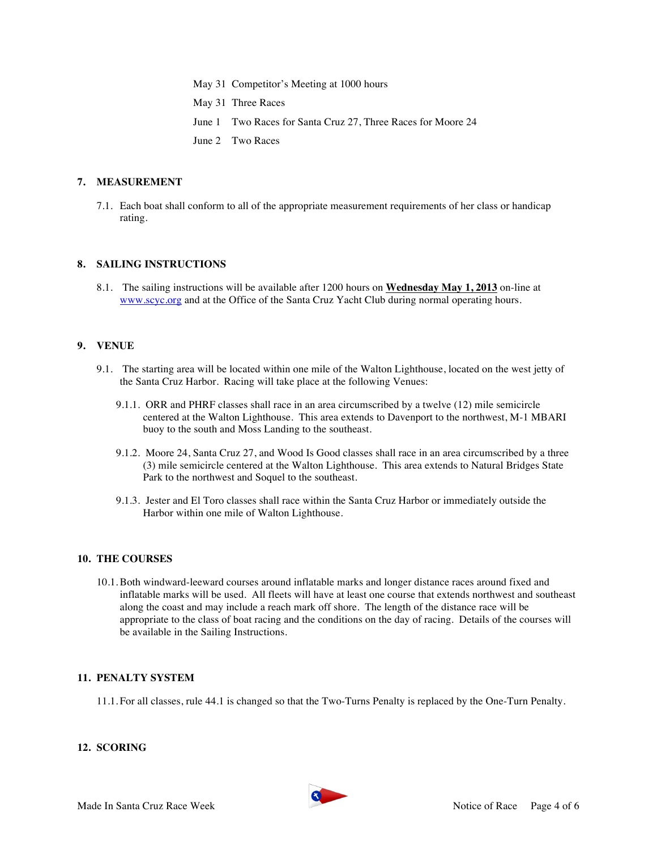May 31 Competitor's Meeting at 1000 hours May 31 Three Races June 1 Two Races for Santa Cruz 27, Three Races for Moore 24 June 2 Two Races

## **7. MEASUREMENT**

7.1. Each boat shall conform to all of the appropriate measurement requirements of her class or handicap rating.

#### **8. SAILING INSTRUCTIONS**

8.1. The sailing instructions will be available after 1200 hours on **Wednesday May 1, 2013** on-line at www.scyc.org and at the Office of the Santa Cruz Yacht Club during normal operating hours.

#### **9. VENUE**

- 9.1. The starting area will be located within one mile of the Walton Lighthouse, located on the west jetty of the Santa Cruz Harbor. Racing will take place at the following Venues:
	- 9.1.1. ORR and PHRF classes shall race in an area circumscribed by a twelve (12) mile semicircle centered at the Walton Lighthouse. This area extends to Davenport to the northwest, M-1 MBARI buoy to the south and Moss Landing to the southeast.
	- 9.1.2. Moore 24, Santa Cruz 27, and Wood Is Good classes shall race in an area circumscribed by a three (3) mile semicircle centered at the Walton Lighthouse. This area extends to Natural Bridges State Park to the northwest and Soquel to the southeast.
	- 9.1.3. Jester and El Toro classes shall race within the Santa Cruz Harbor or immediately outside the Harbor within one mile of Walton Lighthouse.

#### **10. THE COURSES**

10.1.Both windward-leeward courses around inflatable marks and longer distance races around fixed and inflatable marks will be used. All fleets will have at least one course that extends northwest and southeast along the coast and may include a reach mark off shore. The length of the distance race will be appropriate to the class of boat racing and the conditions on the day of racing. Details of the courses will be available in the Sailing Instructions.

#### **11. PENALTY SYSTEM**

11.1. For all classes, rule 44.1 is changed so that the Two-Turns Penalty is replaced by the One-Turn Penalty.

#### **12. SCORING**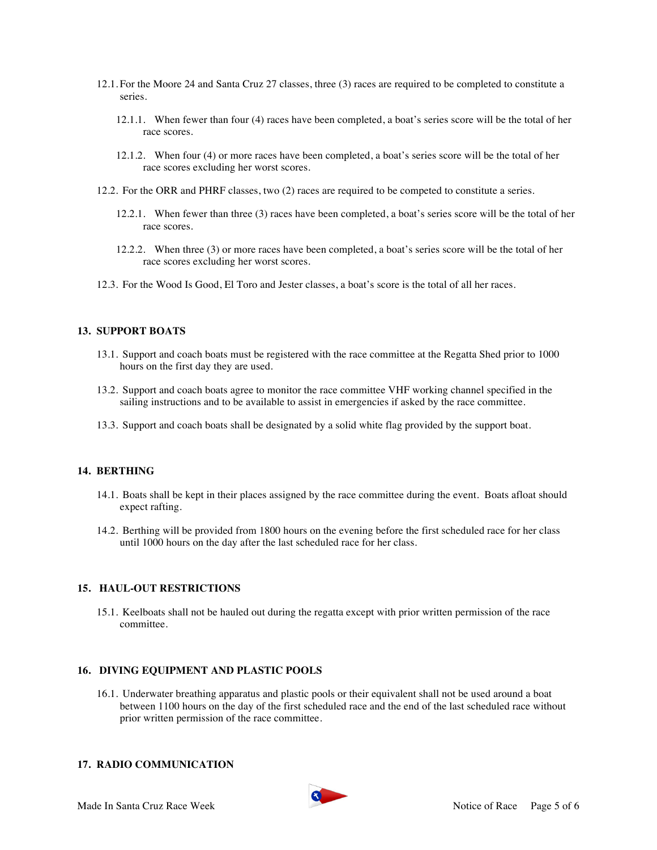- 12.1. For the Moore 24 and Santa Cruz 27 classes, three (3) races are required to be completed to constitute a series.
	- 12.1.1. When fewer than four (4) races have been completed, a boat's series score will be the total of her race scores.
	- 12.1.2. When four (4) or more races have been completed, a boat's series score will be the total of her race scores excluding her worst scores.
- 12.2. For the ORR and PHRF classes, two (2) races are required to be competed to constitute a series.
	- 12.2.1. When fewer than three (3) races have been completed, a boat's series score will be the total of her race scores.
	- 12.2.2. When three (3) or more races have been completed, a boat's series score will be the total of her race scores excluding her worst scores.
- 12.3. For the Wood Is Good, El Toro and Jester classes, a boat's score is the total of all her races.

# **13. SUPPORT BOATS**

- 13.1. Support and coach boats must be registered with the race committee at the Regatta Shed prior to 1000 hours on the first day they are used.
- 13.2. Support and coach boats agree to monitor the race committee VHF working channel specified in the sailing instructions and to be available to assist in emergencies if asked by the race committee.
- 13.3. Support and coach boats shall be designated by a solid white flag provided by the support boat.

#### **14. BERTHING**

- 14.1. Boats shall be kept in their places assigned by the race committee during the event. Boats afloat should expect rafting.
- 14.2. Berthing will be provided from 1800 hours on the evening before the first scheduled race for her class until 1000 hours on the day after the last scheduled race for her class.

#### **15. HAUL-OUT RESTRICTIONS**

15.1. Keelboats shall not be hauled out during the regatta except with prior written permission of the race committee.

#### **16. DIVING EQUIPMENT AND PLASTIC POOLS**

16.1. Underwater breathing apparatus and plastic pools or their equivalent shall not be used around a boat between 1100 hours on the day of the first scheduled race and the end of the last scheduled race without prior written permission of the race committee.

#### **17. RADIO COMMUNICATION**